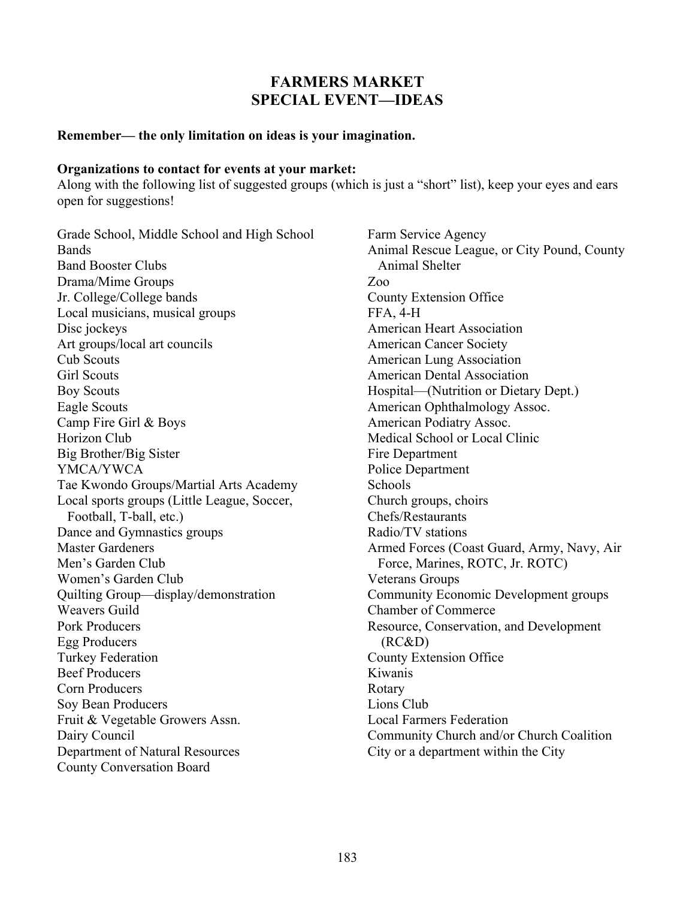# **FARMERS MARKET SPECIAL EVENT—IDEAS**

### **Remember— the only limitation on ideas is your imagination.**

#### **Organizations to contact for events at your market:**

Along with the following list of suggested groups (which is just a "short" list), keep your eyes and ears open for suggestions!

Grade School, Middle School and High School Bands Band Booster Clubs Drama/Mime Groups Jr. College/College bands Local musicians, musical groups Disc jockeys Art groups/local art councils Cub Scouts Girl Scouts Boy Scouts Eagle Scouts Camp Fire Girl & Boys Horizon Club Big Brother/Big Sister YMCA/YWCA Tae Kwondo Groups/Martial Arts Academy Local sports groups (Little League, Soccer, Football, T-ball, etc.) Dance and Gymnastics groups Master Gardeners Men's Garden Club Women's Garden Club Quilting Group—display/demonstration Weavers Guild Pork Producers Egg Producers Turkey Federation Beef Producers Corn Producers Soy Bean Producers Fruit & Vegetable Growers Assn. Dairy Council Department of Natural Resources County Conversation Board

Farm Service Agency Animal Rescue League, or City Pound, County Animal Shelter Zoo County Extension Office FFA, 4-H American Heart Association American Cancer Society American Lung Association American Dental Association Hospital—(Nutrition or Dietary Dept.) American Ophthalmology Assoc. American Podiatry Assoc. Medical School or Local Clinic Fire Department Police Department Schools Church groups, choirs Chefs/Restaurants Radio/TV stations Armed Forces (Coast Guard, Army, Navy, Air Force, Marines, ROTC, Jr. ROTC) Veterans Groups Community Economic Development groups Chamber of Commerce Resource, Conservation, and Development (RC&D) County Extension Office Kiwanis Rotary Lions Club Local Farmers Federation Community Church and/or Church Coalition City or a department within the City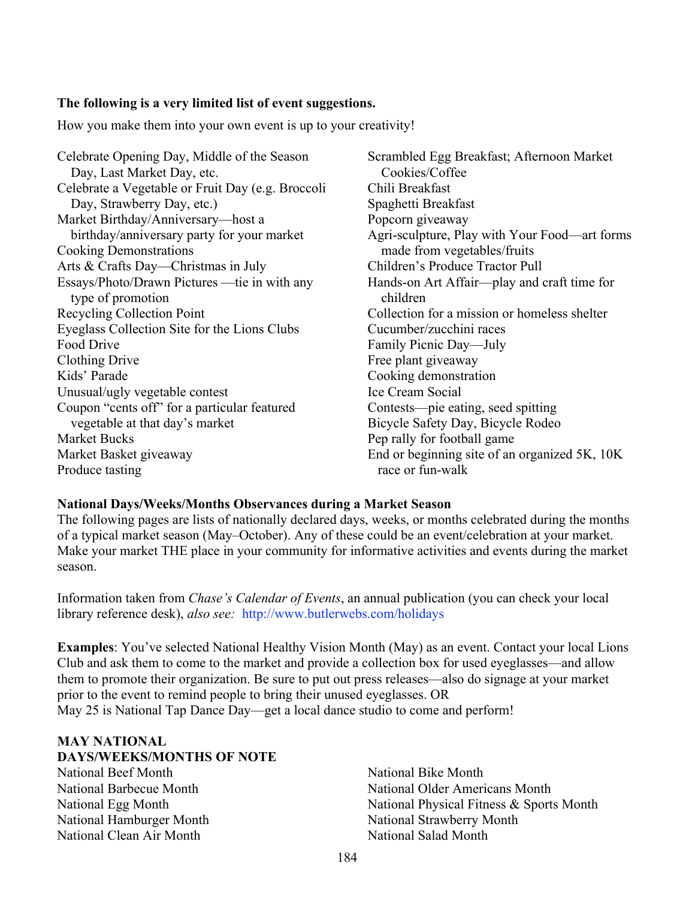## **The following is a very limited list of event suggestions.**

How you make them into your own event is up to your creativity!

Celebrate Opening Day, Middle of the Season Day, Last Market Day, etc. Celebrate a Vegetable or Fruit Day (e.g. Broccoli Day, Strawberry Day, etc.) Market Birthday/Anniversary—host a birthday/anniversary party for your market Cooking Demonstrations Arts & Crafts Day—Christmas in July Essays/Photo/Drawn Pictures —tie in with any type of promotion Recycling Collection Point Eyeglass Collection Site for the Lions Clubs Food Drive Clothing Drive Kids' Parade Unusual/ugly vegetable contest Coupon "cents off" for a particular featured vegetable at that day's market Market Bucks Market Basket giveaway Produce tasting

Scrambled Egg Breakfast; Afternoon Market Cookies/Coffee Chili Breakfast Spaghetti Breakfast Popcorn giveaway Agri-sculpture, Play with Your Food—art forms made from vegetables/fruits Children's Produce Tractor Pull Hands-on Art Affair—play and craft time for children Collection for a mission or homeless shelter Cucumber/zucchini races Family Picnic Day—July Free plant giveaway Cooking demonstration Ice Cream Social Contests—pie eating, seed spitting Bicycle Safety Day, Bicycle Rodeo Pep rally for football game End or beginning site of an organized 5K, 10K race or fun-walk

### **National Days/Weeks/Months Observances during a Market Season**

The following pages are lists of nationally declared days, weeks, or months celebrated during the months of a typical market season (May–October). Any of these could be an event/celebration at your market. Make your market THE place in your community for informative activities and events during the market season.

Information taken from *Chase's Calendar of Events*, an annual publication (you can check your local library reference desk), *also see:* http://www.butlerwebs.com/holidays

**Examples**: You've selected National Healthy Vision Month (May) as an event. Contact your local Lions Club and ask them to come to the market and provide a collection box for used eyeglasses—and allow them to promote their organization. Be sure to put out press releases—also do signage at your market prior to the event to remind people to bring their unused eyeglasses. OR May 25 is National Tap Dance Day—get a local dance studio to come and perform!

### **MAY NATIONAL DAYS/WEEKS/MONTHS OF NOTE**

National Beef Month National Barbecue Month National Egg Month National Hamburger Month National Clean Air Month

National Bike Month National Older Americans Month National Physical Fitness & Sports Month National Strawberry Month National Salad Month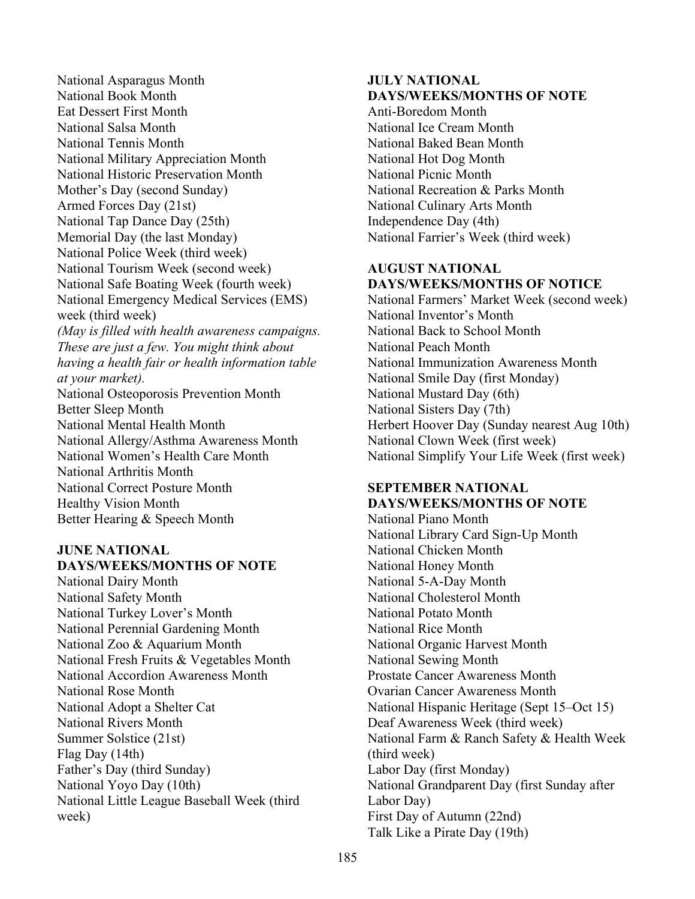National Asparagus Month National Book Month Eat Dessert First Month National Salsa Month National Tennis Month National Military Appreciation Month National Historic Preservation Month Mother's Day (second Sunday) Armed Forces Day (21st) National Tap Dance Day (25th) Memorial Day (the last Monday) National Police Week (third week) National Tourism Week (second week) National Safe Boating Week (fourth week) National Emergency Medical Services (EMS) week (third week) *(May is filled with health awareness campaigns. These are just a few. You might think about having a health fair or health information table at your market).* National Osteoporosis Prevention Month Better Sleep Month National Mental Health Month National Allergy/Asthma Awareness Month National Women's Health Care Month National Arthritis Month National Correct Posture Month Healthy Vision Month Better Hearing & Speech Month

#### **JUNE NATIONAL DAYS/WEEKS/MONTHS OF NOTE**

National Dairy Month National Safety Month National Turkey Lover's Month National Perennial Gardening Month National Zoo & Aquarium Month National Fresh Fruits & Vegetables Month National Accordion Awareness Month National Rose Month National Adopt a Shelter Cat National Rivers Month Summer Solstice (21st) Flag Day (14th) Father's Day (third Sunday) National Yoyo Day (10th) National Little League Baseball Week (third week)

### **JULY NATIONAL DAYS/WEEKS/MONTHS OF NOTE**

Anti-Boredom Month National Ice Cream Month National Baked Bean Month National Hot Dog Month National Picnic Month National Recreation & Parks Month National Culinary Arts Month Independence Day (4th) National Farrier's Week (third week)

## **AUGUST NATIONAL DAYS/WEEKS/MONTHS OF NOTICE**

National Farmers' Market Week (second week) National Inventor's Month National Back to School Month National Peach Month National Immunization Awareness Month National Smile Day (first Monday) National Mustard Day (6th) National Sisters Day (7th) Herbert Hoover Day (Sunday nearest Aug 10th) National Clown Week (first week) National Simplify Your Life Week (first week)

#### **SEPTEMBER NATIONAL DAYS/WEEKS/MONTHS OF NOTE**

National Piano Month National Library Card Sign-Up Month National Chicken Month National Honey Month National 5-A-Day Month National Cholesterol Month National Potato Month National Rice Month National Organic Harvest Month National Sewing Month Prostate Cancer Awareness Month Ovarian Cancer Awareness Month National Hispanic Heritage (Sept 15–Oct 15) Deaf Awareness Week (third week) National Farm & Ranch Safety & Health Week (third week) Labor Day (first Monday) National Grandparent Day (first Sunday after Labor Day) First Day of Autumn (22nd) Talk Like a Pirate Day (19th)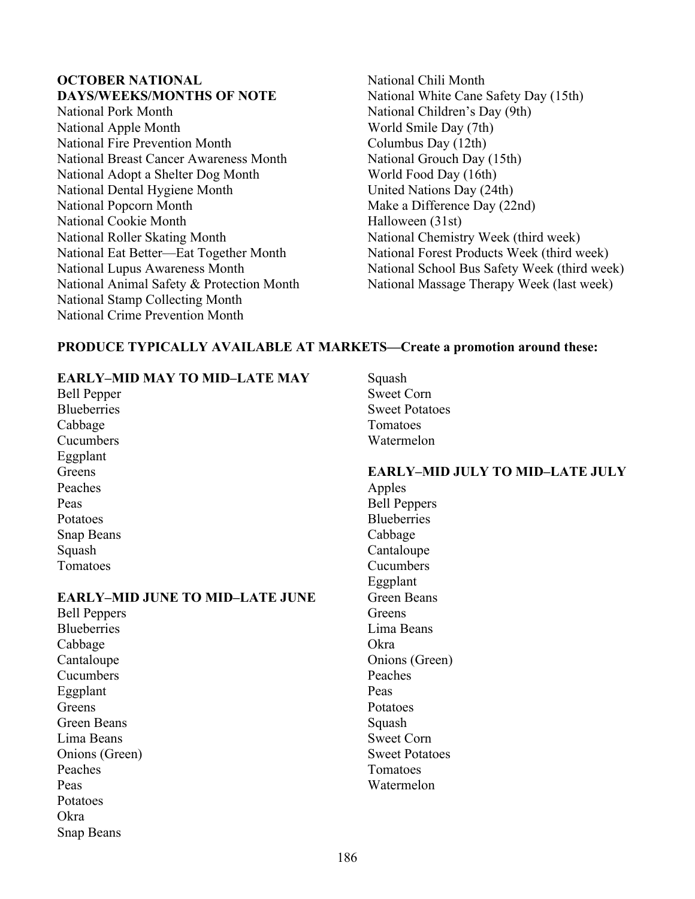## **OCTOBER NATIONAL DAYS/WEEKS/MONTHS OF NOTE**

- National Pork Month National Apple Month National Fire Prevention Month National Breast Cancer Awareness Month National Adopt a Shelter Dog Month National Dental Hygiene Month National Popcorn Month National Cookie Month National Roller Skating Month National Eat Better—Eat Together Month National Lupus Awareness Month National Animal Safety & Protection Month National Stamp Collecting Month National Crime Prevention Month
- National Chili Month National White Cane Safety Day (15th) National Children's Day (9th) World Smile Day (7th) Columbus Day (12th) National Grouch Day (15th) World Food Day (16th) United Nations Day (24th) Make a Difference Day (22nd) Halloween (31st) National Chemistry Week (third week) National Forest Products Week (third week) National School Bus Safety Week (third week) National Massage Therapy Week (last week)

## **PRODUCE TYPICALLY AVAILABLE AT MARKETS—Create a promotion around these:**

## **EARLY–MID MAY TO MID–LATE MAY**

Bell Pepper **Blueberries** Cabbage Cucumbers Eggplant **Greens** Peaches Peas Potatoes Snap Beans Squash Tomatoes

### **EARLY–MID JUNE TO MID–LATE JUNE**

Bell Peppers **Blueberries** Cabbage **Cantaloupe** Cucumbers Eggplant Greens Green Beans Lima Beans Onions (Green) Peaches Peas Potatoes Okra Snap Beans

Squash Sweet Corn Sweet Potatoes Tomatoes **Watermelon** 

### **EARLY–MID JULY TO MID–LATE JULY** Apples Bell Peppers **Blueberries** Cabbage Cantaloupe **Cucumbers** Eggplant Green Beans **Greens** Lima Beans Okra Onions (Green) Peaches Peas

Potatoes Squash Sweet Corn Sweet Potatoes Tomatoes Watermelon